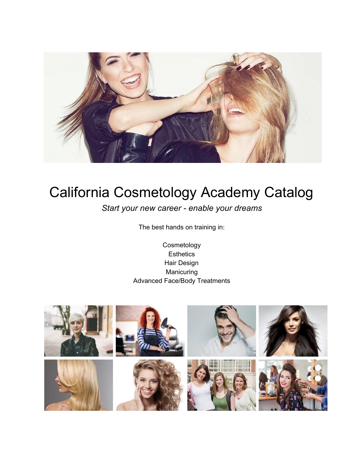

# California Cosmetology Academy Catalog

*Start your new career - enable your dreams*

The best hands on training in:

Cosmetology **Esthetics** Hair Design Manicuring Advanced Face/Body Treatments

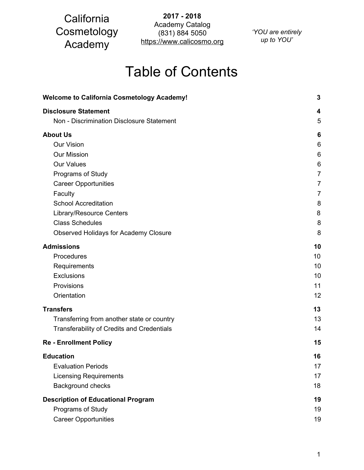**2017 - 2018** Academy Catalog (831) 884 5050 https://www.calicosmo.org

*'YOU are entirely up to YOU'*

# Table of Contents

| <b>Welcome to California Cosmetology Academy!</b> | 3              |
|---------------------------------------------------|----------------|
| <b>Disclosure Statement</b>                       | 4              |
| Non - Discrimination Disclosure Statement         | 5              |
| <b>About Us</b>                                   | 6              |
| <b>Our Vision</b>                                 | 6              |
| <b>Our Mission</b>                                | 6              |
| <b>Our Values</b>                                 | 6              |
| Programs of Study                                 | $\overline{7}$ |
| <b>Career Opportunities</b>                       | $\overline{7}$ |
| Faculty                                           | 7              |
| <b>School Accreditation</b>                       | 8              |
| Library/Resource Centers                          | 8              |
| <b>Class Schedules</b>                            | 8              |
| <b>Observed Holidays for Academy Closure</b>      | 8              |
| <b>Admissions</b>                                 | 10             |
| Procedures                                        | 10             |
| Requirements                                      | 10             |
| Exclusions                                        | 10             |
| Provisions                                        | 11             |
| Orientation                                       | 12             |
| <b>Transfers</b>                                  | 13             |
| Transferring from another state or country        | 13             |
| <b>Transferability of Credits and Credentials</b> | 14             |
| <b>Re - Enrollment Policy</b>                     | 15             |
| <b>Education</b>                                  | 16             |
| <b>Evaluation Periods</b>                         | 17             |
| <b>Licensing Requirements</b>                     | 17             |
| Background checks                                 | 18             |
| <b>Description of Educational Program</b>         | 19             |
| Programs of Study                                 | 19             |
| <b>Career Opportunities</b>                       | 19             |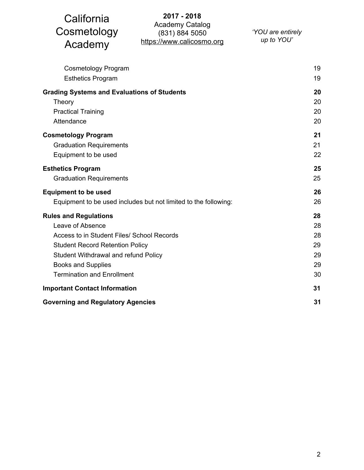| California<br>Cosmetology<br>Academy                                                                                                                                                                                                               | 2017 - 2018<br><b>Academy Catalog</b><br>(831) 884 5050<br>https://www.calicosmo.org | 'YOU are entirely<br>up to YOU' |                                        |
|----------------------------------------------------------------------------------------------------------------------------------------------------------------------------------------------------------------------------------------------------|--------------------------------------------------------------------------------------|---------------------------------|----------------------------------------|
| <b>Cosmetology Program</b><br><b>Esthetics Program</b>                                                                                                                                                                                             |                                                                                      |                                 | 19<br>19                               |
| <b>Grading Systems and Evaluations of Students</b><br>Theory<br><b>Practical Training</b><br>Attendance                                                                                                                                            |                                                                                      |                                 | 20<br>20<br>20<br>20                   |
| <b>Cosmetology Program</b><br><b>Graduation Requirements</b><br>Equipment to be used                                                                                                                                                               |                                                                                      |                                 | 21<br>21<br>22                         |
| <b>Esthetics Program</b><br><b>Graduation Requirements</b>                                                                                                                                                                                         |                                                                                      |                                 | 25<br>25                               |
| <b>Equipment to be used</b>                                                                                                                                                                                                                        | Equipment to be used includes but not limited to the following:                      |                                 | 26<br>26                               |
| <b>Rules and Regulations</b><br>Leave of Absence<br>Access to in Student Files/ School Records<br><b>Student Record Retention Policy</b><br>Student Withdrawal and refund Policy<br><b>Books and Supplies</b><br><b>Termination and Enrollment</b> |                                                                                      |                                 | 28<br>28<br>28<br>29<br>29<br>29<br>30 |
| <b>Important Contact Information</b>                                                                                                                                                                                                               |                                                                                      |                                 | 31                                     |
| <b>Governing and Regulatory Agencies</b>                                                                                                                                                                                                           |                                                                                      |                                 | 31                                     |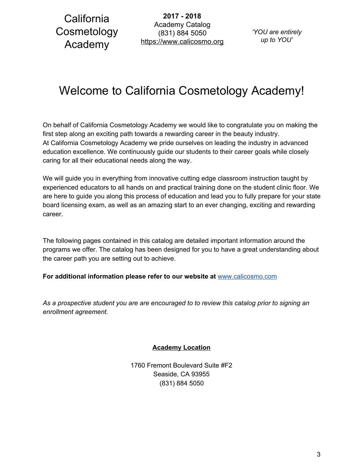**2017 - 2018** Academy Catalog (831) 884 5050 https://www.calicosmo.org

*'YOU are entirely up to YOU'*

# <span id="page-3-0"></span>Welcome to California Cosmetology Academy!

On behalf of California Cosmetology Academy we would like to congratulate you on making the first step along an exciting path towards a rewarding career in the beauty industry. At California Cosmetology Academy we pride ourselves on leading the industry in advanced education excellence. We continuously guide our students to their career goals while closely caring for all their educational needs along the way.

We will guide you in everything from innovative cutting edge classroom instruction taught by experienced educators to all hands on and practical training done on the student clinic floor. We are here to guide you along this process of education and lead you to fully prepare for your state board licensing exam, as well as an amazing start to an ever changing, exciting and rewarding career.

The following pages contained in this catalog are detailed important information around the programs we offer. The catalog has been designed for you to have a great understanding about the career path you are setting out to achieve.

**For additional information please refer to our website at** [www.calicosmo.com](http://www.californiacosmetologyacademy.com/)

*As a prospective student you are are encouraged to to review this catalog prior to signing an enrollment agreement.*

**Academy Location**

1760 Fremont Boulevard Suite #F2 Seaside, CA 93955 (831) 884 5050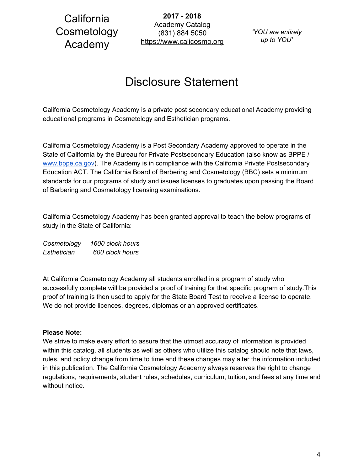**2017 - 2018** Academy Catalog (831) 884 5050 https://www.calicosmo.org

*'YOU are entirely up to YOU'*

# Disclosure Statement

<span id="page-4-0"></span>California Cosmetology Academy is a private post secondary educational Academy providing educational programs in Cosmetology and Esthetician programs.

California Cosmetology Academy is a Post Secondary Academy approved to operate in the State of California by the Bureau for Private Postsecondary Education (also know as BPPE / [www.bppe.ca.gov\)](http://www.bppe.ca.gov/). The Academy is in compliance with the California Private Postsecondary Education ACT. The California Board of Barbering and Cosmetology (BBC) sets a minimum standards for our programs of study and issues licenses to graduates upon passing the Board of Barbering and Cosmetology licensing examinations.

California Cosmetology Academy has been granted approval to teach the below programs of study in the State of California:

*Cosmetology 1600 clock hours Esthetician 600 clock hours*

At California Cosmetology Academy all students enrolled in a program of study who successfully complete will be provided a proof of training for that specific program of study.This proof of training is then used to apply for the State Board Test to receive a license to operate. We do not provide licences, degrees, diplomas or an approved certificates.

### **Please Note:**

We strive to make every effort to assure that the utmost accuracy of information is provided within this catalog, all students as well as others who utilize this catalog should note that laws, rules, and policy change from time to time and these changes may alter the information included in this publication. The California Cosmetology Academy always reserves the right to change regulations, requirements, student rules, schedules, curriculum, tuition, and fees at any time and without notice.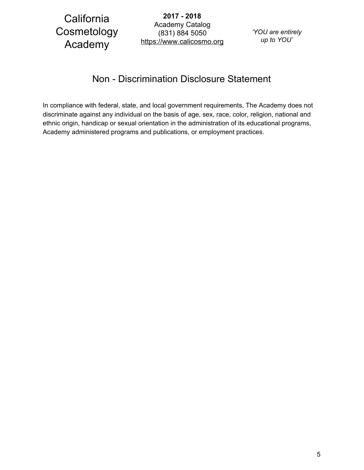**2017 - 2018** Academy Catalog (831) 884 5050 https://www.calicosmo.org

*'YOU are entirely up to YOU'*

## Non - Discrimination Disclosure Statement

<span id="page-5-0"></span>In compliance with federal, state, and local government requirements, The Academy does not discriminate against any individual on the basis of age, sex, race, color, religion, national and ethnic origin, handicap or sexual orientation in the administration of its educational programs, Academy administered programs and publications, or employment practices.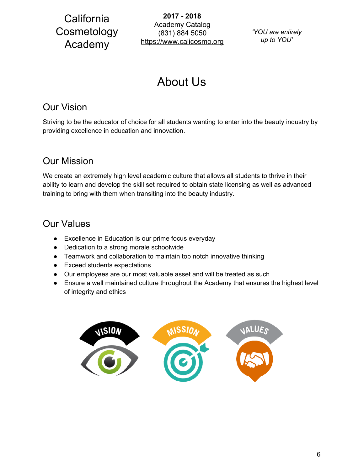**2017 - 2018** Academy Catalog (831) 884 5050 https://www.calicosmo.org

*'YOU are entirely up to YOU'*

# About Us

## <span id="page-6-1"></span><span id="page-6-0"></span>Our Vision

Striving to be the educator of choice for all students wanting to enter into the beauty industry by providing excellence in education and innovation.

## <span id="page-6-2"></span>Our Mission

We create an extremely high level academic culture that allows all students to thrive in their ability to learn and develop the skill set required to obtain state licensing as well as advanced training to bring with them when transiting into the beauty industry.

## <span id="page-6-3"></span>Our Values

- Excellence in Education is our prime focus everyday
- Dedication to a strong morale schoolwide
- Teamwork and collaboration to maintain top notch innovative thinking
- Exceed students expectations
- Our employees are our most valuable asset and will be treated as such
- Ensure a well maintained culture throughout the Academy that ensures the highest level of integrity and ethics

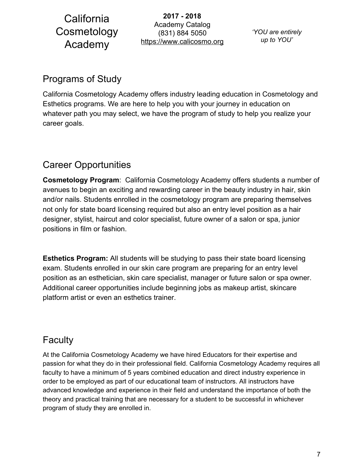**2017 - 2018** Academy Catalog (831) 884 5050 https://www.calicosmo.org

*'YOU are entirely up to YOU'*

## <span id="page-7-0"></span>Programs of Study

California Cosmetology Academy offers industry leading education in Cosmetology and Esthetics programs. We are here to help you with your journey in education on whatever path you may select, we have the program of study to help you realize your career goals.

## <span id="page-7-1"></span>Career Opportunities

**Cosmetology Program**: California Cosmetology Academy offers students a number of avenues to begin an exciting and rewarding career in the beauty industry in hair, skin and/or nails. Students enrolled in the cosmetology program are preparing themselves not only for state board licensing required but also an entry level position as a hair designer, stylist, haircut and color specialist, future owner of a salon or spa, junior positions in film or fashion.

**Esthetics Program:** All students will be studying to pass their state board licensing exam. Students enrolled in our skin care program are preparing for an entry level position as an esthetician, skin care specialist, manager or future salon or spa owner. Additional career opportunities include beginning jobs as makeup artist, skincare platform artist or even an esthetics trainer.

## <span id="page-7-2"></span>**Faculty**

At the California Cosmetology Academy we have hired Educators for their expertise and passion for what they do in their professional field. California Cosmetology Academy requires all faculty to have a minimum of 5 years combined education and direct industry experience in order to be employed as part of our educational team of instructors. All instructors have advanced knowledge and experience in their field and understand the importance of both the theory and practical training that are necessary for a student to be successful in whichever program of study they are enrolled in.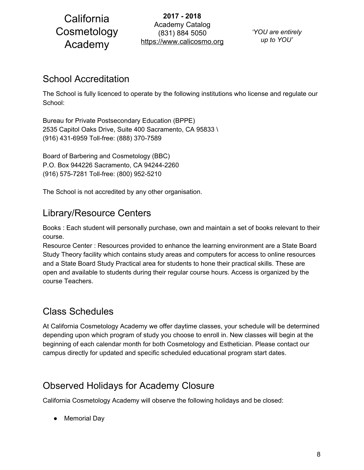**2017 - 2018** Academy Catalog (831) 884 5050 https://www.calicosmo.org

*'YOU are entirely up to YOU'*

## <span id="page-8-0"></span>School Accreditation

The School is fully licenced to operate by the following institutions who license and regulate our School:

Bureau for Private Postsecondary Education (BPPE) 2535 Capitol Oaks Drive, Suite 400 Sacramento, CA 95833 \ (916) 431-6959 Toll-free: (888) 370-7589

Board of Barbering and Cosmetology (BBC) P.O. Box 944226 Sacramento, CA 94244-2260 (916) 575-7281 Toll-free: (800) 952-5210

<span id="page-8-1"></span>The School is not accredited by any other organisation.

## Library/Resource Centers

Books : Each student will personally purchase, own and maintain a set of books relevant to their course.

Resource Center : Resources provided to enhance the learning environment are a State Board Study Theory facility which contains study areas and computers for access to online resources and a State Board Study Practical area for students to hone their practical skills. These are open and available to students during their regular course hours. Access is organized by the course Teachers.

## <span id="page-8-2"></span>Class Schedules

At California Cosmetology Academy we offer daytime classes, your schedule will be determined depending upon which program of study you choose to enroll in. New classes will begin at the beginning of each calendar month for both Cosmetology and Esthetician. Please contact our campus directly for updated and specific scheduled educational program start dates.

## <span id="page-8-3"></span>Observed Holidays for Academy Closure

California Cosmetology Academy will observe the following holidays and be closed:

● Memorial Day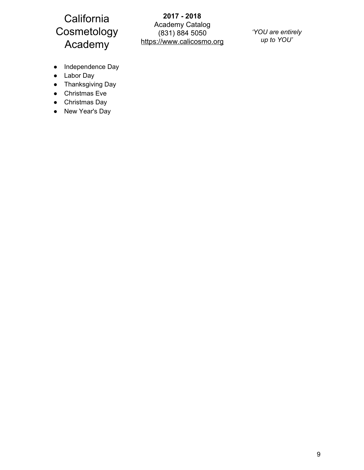**2017 - 2018** Academy Catalog (831) 884 5050 https://www.calicosmo.org

*'YOU are entirely up to YOU'*

- Independence Day
- Labor Day
- Thanksgiving Day
- Christmas Eve
- Christmas Day
- New Year's Day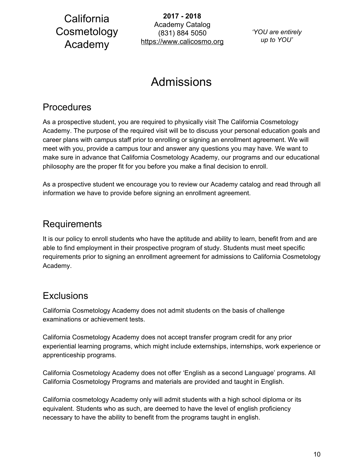**2017 - 2018** Academy Catalog (831) 884 5050 https://www.calicosmo.org

*'YOU are entirely up to YOU'*

# Admissions

## <span id="page-10-1"></span><span id="page-10-0"></span>Procedures

As a prospective student, you are required to physically visit The California Cosmetology Academy. The purpose of the required visit will be to discuss your personal education goals and career plans with campus staff prior to enrolling or signing an enrollment agreement. We will meet with you, provide a campus tour and answer any questions you may have. We want to make sure in advance that California Cosmetology Academy, our programs and our educational philosophy are the proper fit for you before you make a final decision to enroll.

As a prospective student we encourage you to review our Academy catalog and read through all information we have to provide before signing an enrollment agreement.

## <span id="page-10-2"></span>Requirements

It is our policy to enroll students who have the aptitude and ability to learn, benefit from and are able to find employment in their prospective program of study. Students must meet specific requirements prior to signing an enrollment agreement for admissions to California Cosmetology Academy.

## <span id="page-10-3"></span>**Exclusions**

California Cosmetology Academy does not admit students on the basis of challenge examinations or achievement tests.

California Cosmetology Academy does not accept transfer program credit for any prior experiential learning programs, which might include externships, internships, work experience or apprenticeship programs.

California Cosmetology Academy does not offer 'English as a second Language' programs. All California Cosmetology Programs and materials are provided and taught in English.

California cosmetology Academy only will admit students with a high school diploma or its equivalent. Students who as such, are deemed to have the level of english proficiency necessary to have the ability to benefit from the programs taught in english.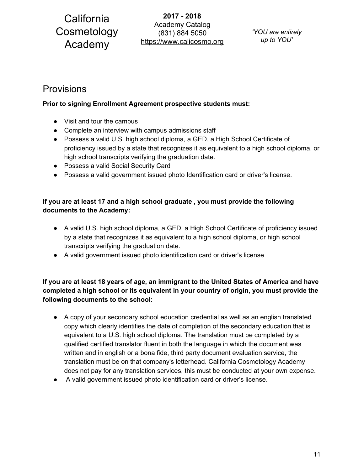**2017 - 2018** Academy Catalog (831) 884 5050 https://www.calicosmo.org

*'YOU are entirely up to YOU'*

## <span id="page-11-0"></span>Provisions

### **Prior to signing Enrollment Agreement prospective students must:**

- Visit and tour the campus
- Complete an interview with campus admissions staff
- Possess a valid U.S. high school diploma, a GED, a High School Certificate of proficiency issued by a state that recognizes it as equivalent to a high school diploma, or high school transcripts verifying the graduation date.
- Possess a valid Social Security Card
- Possess a valid government issued photo Identification card or driver's license.

### **If you are at least 17 and a high school graduate , you must provide the following documents to the Academy:**

- A valid U.S. high school diploma, a GED, a High School Certificate of proficiency issued by a state that recognizes it as equivalent to a high school diploma, or high school transcripts verifying the graduation date.
- A valid government issued photo identification card or driver's license

### **If you are at least 18 years of age, an immigrant to the United States of America and have completed a high school or its equivalent in your country of origin, you must provide the following documents to the school:**

- A copy of your secondary school education credential as well as an english translated copy which clearly identifies the date of completion of the secondary education that is equivalent to a U.S. high school diploma. The translation must be completed by a qualified certified translator fluent in both the language in which the document was written and in english or a bona fide, third party document evaluation service, the translation must be on that company's letterhead. California Cosmetology Academy does not pay for any translation services, this must be conducted at your own expense.
- A valid government issued photo identification card or driver's license.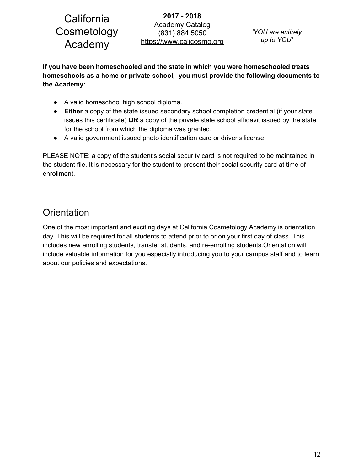**2017 - 2018** Academy Catalog (831) 884 5050 https://www.calicosmo.org

**If you have been homeschooled and the state in which you were homeschooled treats homeschools as a home or private school, you must provide the following documents to the Academy:**

- A valid homeschool high school diploma.
- **Either** a copy of the state issued secondary school completion credential (if your state issues this certificate) **OR** a copy of the private state school affidavit issued by the state for the school from which the diploma was granted.
- A valid government issued photo identification card or driver's license.

PLEASE NOTE: a copy of the student's social security card is not required to be maintained in the student file. It is necessary for the student to present their social security card at time of enrollment.

## <span id="page-12-0"></span>**Orientation**

One of the most important and exciting days at California Cosmetology Academy is orientation day. This will be required for all students to attend prior to or on your first day of class. This includes new enrolling students, transfer students, and re-enrolling students.Orientation will include valuable information for you especially introducing you to your campus staff and to learn about our policies and expectations.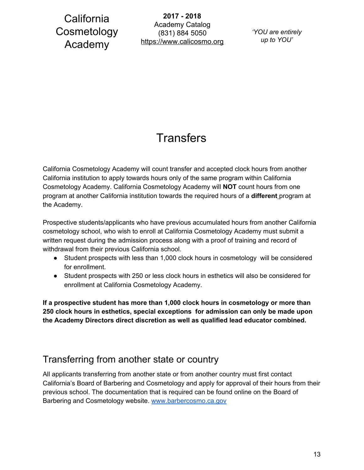**2017 - 2018** Academy Catalog (831) 884 5050 https://www.calicosmo.org

*'YOU are entirely up to YOU'*

# **Transfers**

<span id="page-13-0"></span>California Cosmetology Academy will count transfer and accepted clock hours from another California institution to apply towards hours only of the same program within California Cosmetology Academy. California Cosmetology Academy will **NOT** count hours from one program at another California institution towards the required hours of a **different** program at the Academy.

Prospective students/applicants who have previous accumulated hours from another California cosmetology school, who wish to enroll at California Cosmetology Academy must submit a written request during the admission process along with a proof of training and record of withdrawal from their previous California school.

- Student prospects with less than 1,000 clock hours in cosmetology will be considered for enrollment.
- Student prospects with 250 or less clock hours in esthetics will also be considered for enrollment at California Cosmetology Academy.

**If a prospective student has more than 1,000 clock hours in cosmetology or more than 250 clock hours in esthetics, special exceptions for admission can only be made upon the Academy Directors direct discretion as well as qualified lead educator combined.**

## <span id="page-13-1"></span>Transferring from another state or country

All applicants transferring from another state or from another country must first contact California's Board of Barbering and Cosmetology and apply for approval of their hours from their previous school. The documentation that is required can be found online on the Board of Barbering and Cosmetology website. [www.barbercosmo.ca.gov](http://www.barbercosmo.ca.gov/)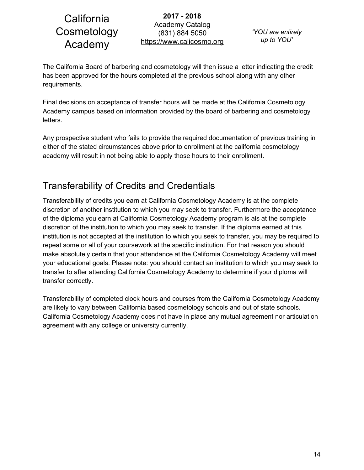**2017 - 2018** Academy Catalog (831) 884 5050 https://www.calicosmo.org

*'YOU are entirely up to YOU'*

The California Board of barbering and cosmetology will then issue a letter indicating the credit has been approved for the hours completed at the previous school along with any other requirements.

Final decisions on acceptance of transfer hours will be made at the California Cosmetology Academy campus based on information provided by the board of barbering and cosmetology letters.

Any prospective student who fails to provide the required documentation of previous training in either of the stated circumstances above prior to enrollment at the california cosmetology academy will result in not being able to apply those hours to their enrollment.

## <span id="page-14-0"></span>Transferability of Credits and Credentials

Transferability of credits you earn at California Cosmetology Academy is at the complete discretion of another institution to which you may seek to transfer. Furthermore the acceptance of the diploma you earn at California Cosmetology Academy program is als at the complete discretion of the institution to which you may seek to transfer. If the diploma earned at this institution is not accepted at the institution to which you seek to transfer, you may be required to repeat some or all of your coursework at the specific institution. For that reason you should make absolutely certain that your attendance at the California Cosmetology Academy will meet your educational goals. Please note: you should contact an institution to which you may seek to transfer to after attending California Cosmetology Academy to determine if your diploma will transfer correctly.

Transferability of completed clock hours and courses from the California Cosmetology Academy are likely to vary between California based cosmetology schools and out of state schools. California Cosmetology Academy does not have in place any mutual agreement nor articulation agreement with any college or university currently.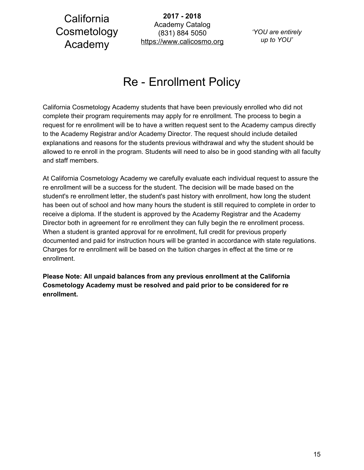**2017 - 2018** Academy Catalog (831) 884 5050 https://www.calicosmo.org

*'YOU are entirely up to YOU'*

# Re - Enrollment Policy

<span id="page-15-0"></span>California Cosmetology Academy students that have been previously enrolled who did not complete their program requirements may apply for re enrollment. The process to begin a request for re enrollment will be to have a written request sent to the Academy campus directly to the Academy Registrar and/or Academy Director. The request should include detailed explanations and reasons for the students previous withdrawal and why the student should be allowed to re enroll in the program. Students will need to also be in good standing with all faculty and staff members.

At California Cosmetology Academy we carefully evaluate each individual request to assure the re enrollment will be a success for the student. The decision will be made based on the student's re enrollment letter, the student's past history with enrollment, how long the student has been out of school and how many hours the student is still required to complete in order to receive a diploma. If the student is approved by the Academy Registrar and the Academy Director both in agreement for re enrollment they can fully begin the re enrollment process. When a student is granted approval for re enrollment, full credit for previous properly documented and paid for instruction hours will be granted in accordance with state regulations. Charges for re enrollment will be based on the tuition charges in effect at the time or re enrollment.

**Please Note: All unpaid balances from any previous enrollment at the California Cosmetology Academy must be resolved and paid prior to be considered for re enrollment.**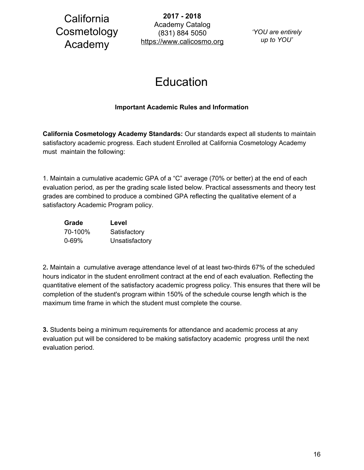**2017 - 2018** Academy Catalog (831) 884 5050 https://www.calicosmo.org

*'YOU are entirely up to YOU'*

# Education

### **Important Academic Rules and Information**

<span id="page-16-0"></span>**California Cosmetology Academy Standards:** Our standards expect all students to maintain satisfactory academic progress. Each student Enrolled at California Cosmetology Academy must maintain the following:

1. Maintain a cumulative academic GPA of a "C" average (70% or better) at the end of each evaluation period, as per the grading scale listed below. Practical assessments and theory test grades are combined to produce a combined GPA reflecting the qualitative element of a satisfactory Academic Program policy.

| Grade     | Level          |
|-----------|----------------|
| 70-100%   | Satisfactory   |
| $0 - 69%$ | Unsatisfactory |

2**.** Maintain a cumulative average attendance level of at least two-thirds 67% of the scheduled hours indicator in the student enrollment contract at the end of each evaluation. Reflecting the quantitative element of the satisfactory academic progress policy. This ensures that there will be completion of the student's program within 150% of the schedule course length which is the maximum time frame in which the student must complete the course.

**3.** Students being a minimum requirements for attendance and academic process at any evaluation put will be considered to be making satisfactory academic progress until the next evaluation period.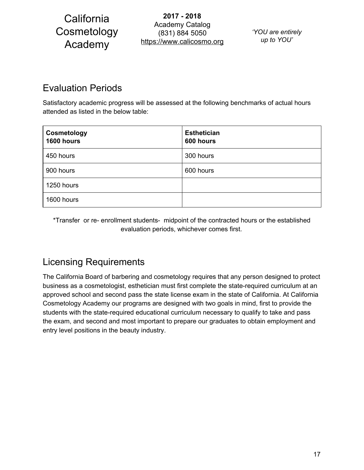**2017 - 2018** Academy Catalog (831) 884 5050 https://www.calicosmo.org

*'YOU are entirely up to YOU'*

## <span id="page-17-0"></span>Evaluation Periods

Satisfactory academic progress will be assessed at the following benchmarks of actual hours attended as listed in the below table:

| Cosmetology<br>1600 hours | <b>Esthetician</b><br>600 hours |
|---------------------------|---------------------------------|
| 450 hours                 | 300 hours                       |
| 900 hours                 | 600 hours                       |
| 1250 hours                |                                 |
| 1600 hours                |                                 |

\*Transfer or re- enrollment students- midpoint of the contracted hours or the established evaluation periods, whichever comes first.

## <span id="page-17-1"></span>Licensing Requirements

The California Board of barbering and cosmetology requires that any person designed to protect business as a cosmetologist, esthetician must first complete the state-required curriculum at an approved school and second pass the state license exam in the state of California. At California Cosmetology Academy our programs are designed with two goals in mind, first to provide the students with the state-required educational curriculum necessary to qualify to take and pass the exam, and second and most important to prepare our graduates to obtain employment and entry level positions in the beauty industry.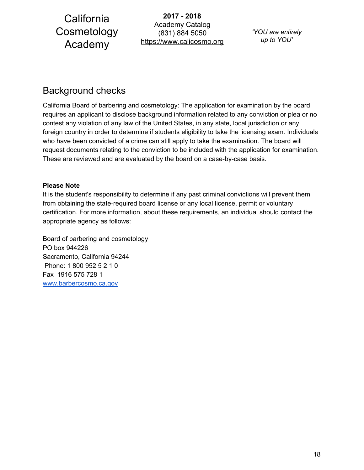**2017 - 2018** Academy Catalog (831) 884 5050 https://www.calicosmo.org

*'YOU are entirely up to YOU'*

## <span id="page-18-0"></span>Background checks

California Board of barbering and cosmetology: The application for examination by the board requires an applicant to disclose background information related to any conviction or plea or no contest any violation of any law of the United States, in any state, local jurisdiction or any foreign country in order to determine if students eligibility to take the licensing exam. Individuals who have been convicted of a crime can still apply to take the examination. The board will request documents relating to the conviction to be included with the application for examination. These are reviewed and are evaluated by the board on a case-by-case basis.

### **Please Note**

It is the student's responsibility to determine if any past criminal convictions will prevent them from obtaining the state-required board license or any local license, permit or voluntary certification. For more information, about these requirements, an individual should contact the appropriate agency as follows:

Board of barbering and cosmetology PO box 944226 Sacramento, California 94244 Phone: 1 800 952 5 2 1 0 Fax 1916 575 728 1 [www.barbercosmo.ca.gov](http://www.barbercosmo.ca.gov/)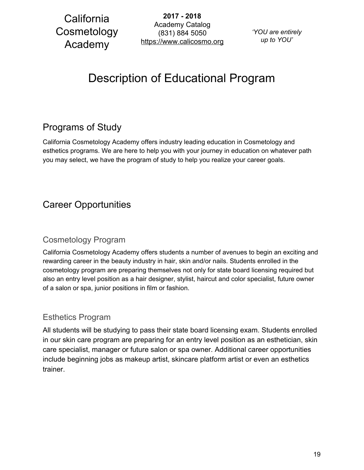**2017 - 2018** Academy Catalog (831) 884 5050 https://www.calicosmo.org

*'YOU are entirely up to YOU'*

# <span id="page-19-0"></span>Description of Educational Program

## <span id="page-19-1"></span>Programs of Study

California Cosmetology Academy offers industry leading education in Cosmetology and esthetics programs. We are here to help you with your journey in education on whatever path you may select, we have the program of study to help you realize your career goals.

## <span id="page-19-2"></span>Career Opportunities

### <span id="page-19-3"></span>Cosmetology Program

California Cosmetology Academy offers students a number of avenues to begin an exciting and rewarding career in the beauty industry in hair, skin and/or nails. Students enrolled in the cosmetology program are preparing themselves not only for state board licensing required but also an entry level position as a hair designer, stylist, haircut and color specialist, future owner of a salon or spa, junior positions in film or fashion.

### <span id="page-19-4"></span>Esthetics Program

All students will be studying to pass their state board licensing exam. Students enrolled in our skin care program are preparing for an entry level position as an esthetician, skin care specialist, manager or future salon or spa owner. Additional career opportunities include beginning jobs as makeup artist, skincare platform artist or even an esthetics trainer.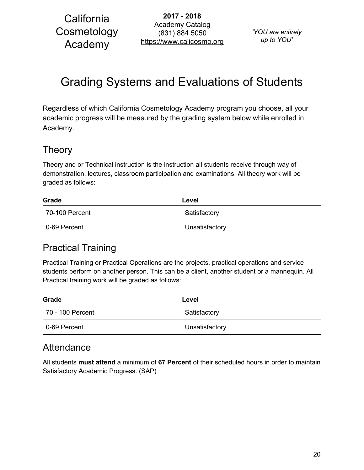**2017 - 2018** Academy Catalog (831) 884 5050 https://www.calicosmo.org

*'YOU are entirely up to YOU'*

# <span id="page-20-0"></span>Grading Systems and Evaluations of Students

Regardless of which California Cosmetology Academy program you choose, all your academic progress will be measured by the grading system below while enrolled in Academy.

## <span id="page-20-1"></span>Theory

Theory and or Technical instruction is the instruction all students receive through way of demonstration, lectures, classroom participation and examinations. All theory work will be graded as follows:

| Grade          | Level          |  |
|----------------|----------------|--|
| 70-100 Percent | Satisfactory   |  |
| 0-69 Percent   | Unsatisfactory |  |

## <span id="page-20-2"></span>Practical Training

Practical Training or Practical Operations are the projects, practical operations and service students perform on another person. This can be a client, another student or a mannequin. All Practical training work will be graded as follows:

| Grade            | Level          |  |
|------------------|----------------|--|
| 70 - 100 Percent | Satisfactory   |  |
| 0-69 Percent     | Unsatisfactory |  |

## <span id="page-20-3"></span>**Attendance**

All students **must attend** a minimum of **67 Percent** of their scheduled hours in order to maintain Satisfactory Academic Progress. (SAP)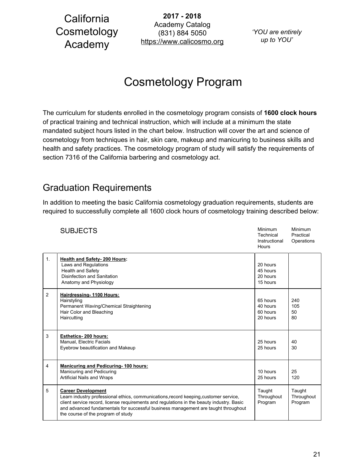**2017 - 2018** Academy Catalog (831) 884 5050 https://www.calicosmo.org

*'YOU are entirely up to YOU'*

# Cosmetology Program

<span id="page-21-0"></span>The curriculum for students enrolled in the cosmetology program consists of **1600 clock hours** of practical training and technical instruction, which will include at a minimum the state mandated subject hours listed in the chart below. Instruction will cover the art and science of cosmetology from techniques in hair, skin care, makeup and manicuring to business skills and health and safety practices. The cosmetology program of study will satisfy the requirements of section 7316 of the California barbering and cosmetology act.

### <span id="page-21-1"></span>Graduation Requirements

In addition to meeting the basic California cosmetology graduation requirements, students are required to successfully complete all 1600 clock hours of cosmetology training described below:

|                | <b>SUBJECTS</b>                                                                                                                                                                                                                                                                                                                             | Minimum<br>Technical<br>Instructional<br>Hours | Minimum<br>Practical<br>Operations |
|----------------|---------------------------------------------------------------------------------------------------------------------------------------------------------------------------------------------------------------------------------------------------------------------------------------------------------------------------------------------|------------------------------------------------|------------------------------------|
| 1 <sub>1</sub> | <b>Health and Safety-200 Hours:</b><br>Laws and Regulations<br>Health and Safety<br>Disinfection and Sanitation<br>Anatomy and Physiology                                                                                                                                                                                                   | 20 hours<br>45 hours<br>20 hours<br>15 hours   |                                    |
| 2              | Hairdressing-1100 Hours:<br>Hairstyling<br>Permanent Waving/Chemical Straightening<br>Hair Color and Bleaching<br>Haircutting                                                                                                                                                                                                               | 65 hours<br>40 hours<br>60 hours<br>20 hours   | 240<br>105<br>50<br>80             |
| 3              | Esthetics-200 hours:<br>Manual, Electric Facials<br>Eyebrow beautification and Makeup                                                                                                                                                                                                                                                       | 25 hours<br>25 hours                           | 40<br>30                           |
| 4              | <b>Manicuring and Pedicuring-100 hours:</b><br>Manicuring and Pedicuring<br>Artificial Nails and Wraps                                                                                                                                                                                                                                      | 10 hours<br>25 hours                           | 25<br>120                          |
| 5              | <b>Career Development</b><br>Learn industry professional ethics, communications, record keeping, customer service,<br>client service record, license requirements and regulations in the beauty industry. Basic<br>and advanced fundamentals for successful business management are taught throughout<br>the course of the program of study | Taught<br>Throughout<br>Program                | Taught<br>Throughout<br>Program    |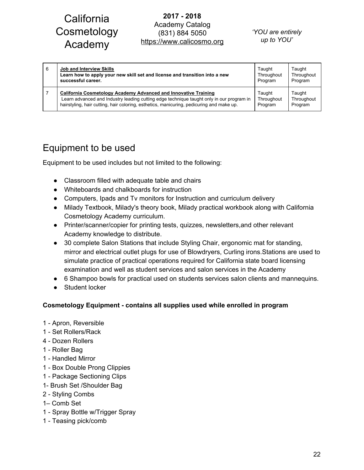### **2017 - 2018** Academy Catalog (831) 884 5050 https://www.calicosmo.org

#### *'YOU are entirely up to YOU'*

| 6 | Job and Interview Skills                                                                 | Taught     | Taught     |
|---|------------------------------------------------------------------------------------------|------------|------------|
|   | Learn how to apply your new skill set and license and transition into a new              | Throughout | Throughout |
|   | successful career.                                                                       | Program    | Program    |
|   | California Cosmetology Academy Advanced and Innovative Training                          | Taught     | Taught     |
|   | Learn advanced and Industry leading cutting edge technique taught only in our program in | Throughout | Throughout |
|   | hairstyling, hair cutting, hair coloring, esthetics, manicuring, pedicuring and make up. | Program    | Program    |

## <span id="page-22-0"></span>Equipment to be used

Equipment to be used includes but not limited to the following:

- Classroom filled with adequate table and chairs
- Whiteboards and chalkboards for instruction
- Computers, Ipads and Tv monitors for Instruction and curriculum delivery
- Milady Textbook, Milady's theory book, Milady practical workbook along with California Cosmetology Academy curriculum.
- Printer/scanner/copier for printing tests, quizzes, newsletters,and other relevant Academy knowledge to distribute.
- 30 complete Salon Stations that include Styling Chair, ergonomic mat for standing, mirror and electrical outlet plugs for use of Blowdryers, Curling irons.Stations are used to simulate practice of practical operations required for California state board licensing examination and well as student services and salon services in the Academy
- 6 Shampoo bowls for practical used on students services salon clients and mannequins.
- Student locker

### **Cosmetology Equipment - contains all supplies used while enrolled in program**

- 1 Apron, Reversible
- 1 Set Rollers/Rack
- 4 Dozen Rollers
- 1 Roller Bag
- 1 Handled Mirror
- 1 Box Double Prong Clippies
- 1 Package Sectioning Clips
- 1- Brush Set /Shoulder Bag
- 2 Styling Combs
- 1– Comb Set
- 1 Spray Bottle w/Trigger Spray
- 1 Teasing pick/comb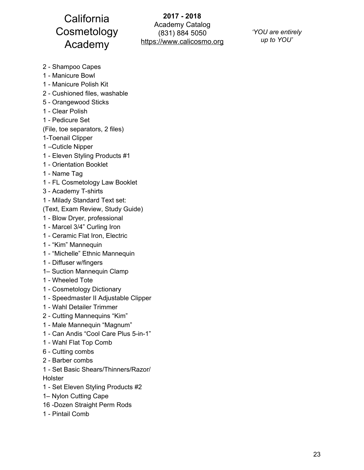**2017 - 2018** Academy Catalog (831) 884 5050 https://www.calicosmo.org

*'YOU are entirely up to YOU'*

- Shampoo Capes
- Manicure Bowl
- Manicure Polish Kit
- Cushioned files, washable
- Orangewood Sticks
- Clear Polish
- Pedicure Set
- (File, toe separators, 2 files)
- 1-Toenail Clipper
- –Cuticle Nipper
- Eleven Styling Products #1
- Orientation Booklet
- Name Tag
- FL Cosmetology Law Booklet
- Academy T-shirts
- Milady Standard Text set:
- (Text, Exam Review, Study Guide)
- Blow Dryer, professional
- Marcel 3/4" Curling Iron
- Ceramic Flat Iron, Electric
- "Kim" Mannequin
- "Michelle" Ethnic Mannequin
- Diffuser w/fingers
- 1– Suction Mannequin Clamp
- Wheeled Tote
- Cosmetology Dictionary
- Speedmaster II Adjustable Clipper
- Wahl Detailer Trimmer
- Cutting Mannequins "Kim"
- Male Mannequin "Magnum"
- Can Andis "Cool Care Plus 5-in-1"
- Wahl Flat Top Comb
- Cutting combs
- Barber combs
- Set Basic Shears/Thinners/Razor/ Holster
- Set Eleven Styling Products #2
- 1– Nylon Cutting Cape
- -Dozen Straight Perm Rods
- Pintail Comb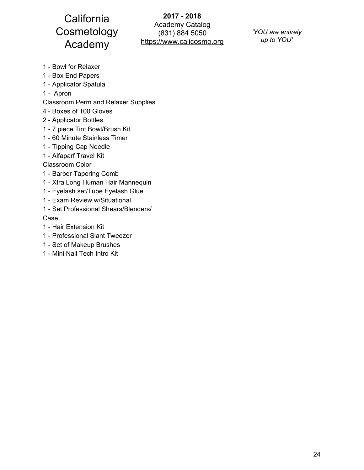**2017 - 2018** Academy Catalog (831) 884 5050 https://www.calicosmo.org

*'YOU are entirely up to YOU'*

- Bowl for Relaxer
- Box End Papers
- Applicator Spatula
- Apron
- Classroom Perm and Relaxer Supplies
- Boxes of 100 Gloves
- Applicator Bottles
- 7 piece Tint Bowl/Brush Kit
- 60 Minute Stainless Timer
- Tipping Cap Needle
- Alfaparf Travel Kit
- Classroom Color
- Barber Tapering Comb
- Xtra Long Human Hair Mannequin
- Eyelash set/Tube Eyelash Glue
- Exam Review w/Situational
- Set Professional Shears/Blenders/

Case

- Hair Extension Kit
- Professional Slant Tweezer
- Set of Makeup Brushes
- Mini Nail Tech Intro Kit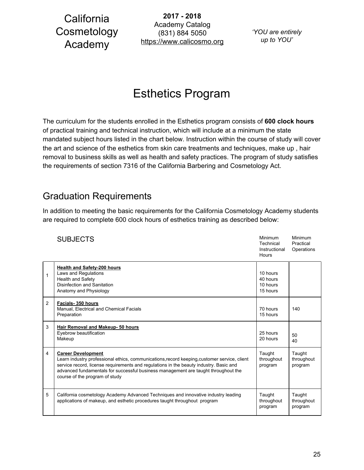**2017 - 2018** Academy Catalog (831) 884 5050 https://www.calicosmo.org

*'YOU are entirely up to YOU'*

# Esthetics Program

<span id="page-25-0"></span>The curriculum for the students enrolled in the Esthetics program consists of **600 clock hours** of practical training and technical instruction, which will include at a minimum the state mandated subject hours listed in the chart below. Instruction within the course of study will cover the art and science of the esthetics from skin care treatments and techniques, make up , hair removal to business skills as well as health and safety practices. The program of study satisfies the requirements of section 7316 of the California Barbering and Cosmetology Act.

## <span id="page-25-1"></span>Graduation Requirements

In addition to meeting the basic requirements for the California Cosmetology Academy students are required to complete 600 clock hours of esthetics training as described below:

|   | <b>SUBJECTS</b>                                                                                                                                                                                                                                                                                                                             | <b>Minimum</b><br>Technical<br>Instructional<br>Hours | Minimum<br>Practical<br>Operations |
|---|---------------------------------------------------------------------------------------------------------------------------------------------------------------------------------------------------------------------------------------------------------------------------------------------------------------------------------------------|-------------------------------------------------------|------------------------------------|
| 1 | <b>Health and Safety-200 hours</b><br>Laws and Regulations<br>Health and Safety<br>Disinfection and Sanitation<br>Anatomy and Physiology                                                                                                                                                                                                    | 10 hours<br>40 hours<br>10 hours<br>15 hours          |                                    |
| 2 | Facials-350 hours<br>Manual, Electrical and Chemical Facials<br>Preparation                                                                                                                                                                                                                                                                 | 70 hours<br>15 hours                                  | 140                                |
| 3 | Hair Removal and Makeup- 50 hours<br>Eyebrow beautification<br>Makeup                                                                                                                                                                                                                                                                       | 25 hours<br>20 hours                                  | $50^{\circ}$<br>40                 |
| 4 | <b>Career Development</b><br>Learn industry professional ethics, communications, record keeping, customer service, client<br>service record, license requirements and regulations in the beauty industry. Basic and<br>advanced fundamentals for successful business management are taught throughout the<br>course of the program of study | Taught<br>throughout<br>program                       | Taught<br>throughout<br>program    |
| 5 | California cosmetology Academy Advanced Techniques and innovative industry leading<br>applications of makeup, and esthetic procedures taught throughout program                                                                                                                                                                             | Taught<br>throughout<br>program                       | Taught<br>throughout<br>program    |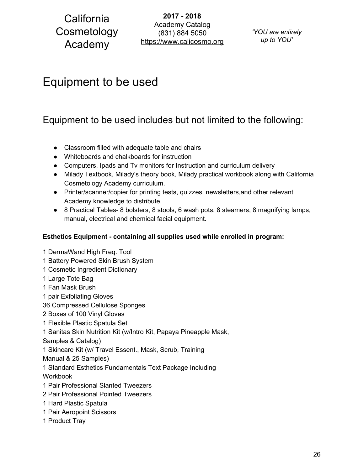**2017 - 2018** Academy Catalog (831) 884 5050 https://www.calicosmo.org

*'YOU are entirely up to YOU'*

## <span id="page-26-1"></span><span id="page-26-0"></span>Equipment to be used

## Equipment to be used includes but not limited to the following:

- Classroom filled with adequate table and chairs
- Whiteboards and chalkboards for instruction
- Computers, Ipads and Tv monitors for Instruction and curriculum delivery
- Milady Textbook, Milady's theory book, Milady practical workbook along with California Cosmetology Academy curriculum.
- Printer/scanner/copier for printing tests, quizzes, newsletters,and other relevant Academy knowledge to distribute.
- 8 Practical Tables- 8 bolsters, 8 stools, 6 wash pots, 8 steamers, 8 magnifying lamps, manual, electrical and chemical facial equipment.

### **Esthetics Equipment - containing all supplies used while enrolled in program:**

 DermaWand High Freq. Tool Battery Powered Skin Brush System Cosmetic Ingredient Dictionary Large Tote Bag Fan Mask Brush pair Exfoliating Gloves Compressed Cellulose Sponges Boxes of 100 Vinyl Gloves Flexible Plastic Spatula Set Sanitas Skin Nutrition Kit (w/Intro Kit, Papaya Pineapple Mask, Samples & Catalog) Skincare Kit (w/ Travel Essent., Mask, Scrub, Training Manual & 25 Samples) Standard Esthetics Fundamentals Text Package Including **Workbook**  Pair Professional Slanted Tweezers Pair Professional Pointed Tweezers Hard Plastic Spatula Pair Aeropoint Scissors Product Tray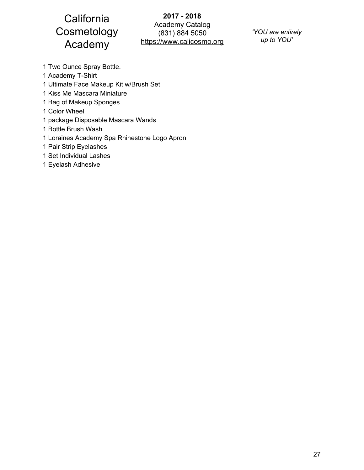**2017 - 2018** Academy Catalog (831) 884 5050 https://www.calicosmo.org

*'YOU are entirely up to YOU'*

- 1 Two Ounce Spray Bottle.
- 1 Academy T-Shirt
- 1 Ultimate Face Makeup Kit w/Brush Set
- 1 Kiss Me Mascara Miniature
- 1 Bag of Makeup Sponges
- 1 Color Wheel
- 1 package Disposable Mascara Wands
- 1 Bottle Brush Wash
- 1 Loraines Academy Spa Rhinestone Logo Apron
- 1 Pair Strip Eyelashes
- 1 Set Individual Lashes
- 1 Eyelash Adhesive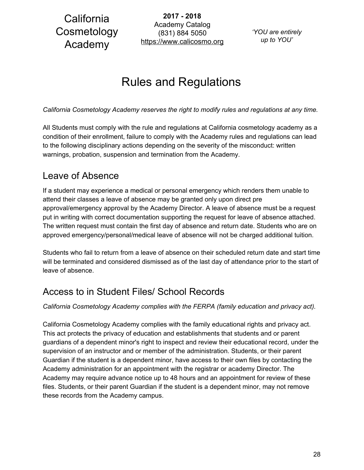**2017 - 2018** Academy Catalog (831) 884 5050 https://www.calicosmo.org

*'YOU are entirely up to YOU'*

# Rules and Regulations

<span id="page-28-0"></span>*California Cosmetology Academy reserves the right to modify rules and regulations at any time.*

All Students must comply with the rule and regulations at California cosmetology academy as a condition of their enrollment, failure to comply with the Academy rules and regulations can lead to the following disciplinary actions depending on the severity of the misconduct: written warnings, probation, suspension and termination from the Academy.

## <span id="page-28-1"></span>Leave of Absence

If a student may experience a medical or personal emergency which renders them unable to attend their classes a leave of absence may be granted only upon direct pre approval/emergency approval by the Academy Director. A leave of absence must be a request put in writing with correct documentation supporting the request for leave of absence attached. The written request must contain the first day of absence and return date. Students who are on approved emergency/personal/medical leave of absence will not be charged additional tuition.

Students who fail to return from a leave of absence on their scheduled return date and start time will be terminated and considered dismissed as of the last day of attendance prior to the start of leave of absence.

## <span id="page-28-2"></span>Access to in Student Files/ School Records

*California Cosmetology Academy complies with the FERPA (family education and privacy act).*

California Cosmetology Academy complies with the family educational rights and privacy act. This act protects the privacy of education and establishments that students and or parent guardians of a dependent minor's right to inspect and review their educational record, under the supervision of an instructor and or member of the administration. Students, or their parent Guardian if the student is a dependent minor, have access to their own files by contacting the Academy administration for an appointment with the registrar or academy Director. The Academy may require advance notice up to 48 hours and an appointment for review of these files. Students, or their parent Guardian if the student is a dependent minor, may not remove these records from the Academy campus.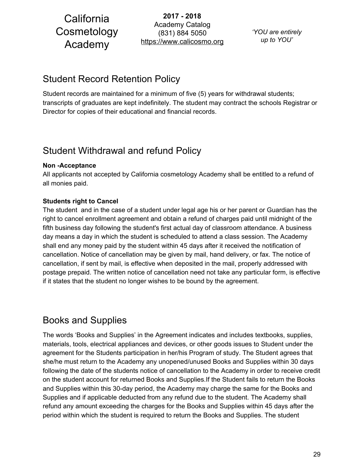**2017 - 2018** Academy Catalog (831) 884 5050 https://www.calicosmo.org

*'YOU are entirely up to YOU'*

## <span id="page-29-0"></span>Student Record Retention Policy

Student records are maintained for a minimum of five (5) years for withdrawal students; transcripts of graduates are kept indefinitely. The student may contract the schools Registrar or Director for copies of their educational and financial records.

## <span id="page-29-1"></span>Student Withdrawal and refund Policy

### **Non -Acceptance**

All applicants not accepted by California cosmetology Academy shall be entitled to a refund of all monies paid.

### **Students right to Cancel**

The student and in the case of a student under legal age his or her parent or Guardian has the right to cancel enrollment agreement and obtain a refund of charges paid until midnight of the fifth business day following the student's first actual day of classroom attendance. A business day means a day in which the student is scheduled to attend a class session. The Academy shall end any money paid by the student within 45 days after it received the notification of cancellation. Notice of cancellation may be given by mail, hand delivery, or fax. The notice of cancellation, if sent by mail, is effective when deposited in the mail, properly addressed with postage prepaid. The written notice of cancellation need not take any particular form, is effective if it states that the student no longer wishes to be bound by the agreement.

## <span id="page-29-2"></span>Books and Supplies

The words 'Books and Supplies' in the Agreement indicates and includes textbooks, supplies, materials, tools, electrical appliances and devices, or other goods issues to Student under the agreement for the Students participation in her/his Program of study. The Student agrees that she/he must return to the Academy any unopened/unused Books and Supplies within 30 days following the date of the students notice of cancellation to the Academy in order to receive credit on the student account for returned Books and Supplies.If the Student fails to return the Books and Supplies within this 30-day period, the Academy may charge the same for the Books and Supplies and if applicable deducted from any refund due to the student. The Academy shall refund any amount exceeding the charges for the Books and Supplies within 45 days after the period within which the student is required to return the Books and Supplies. The student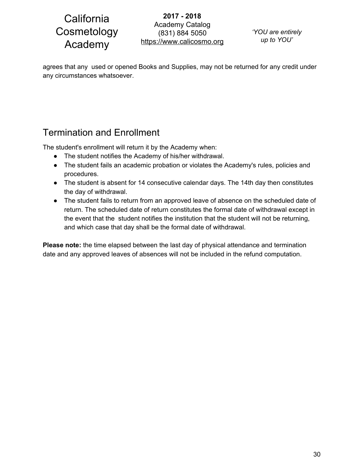**2017 - 2018** Academy Catalog (831) 884 5050 https://www.calicosmo.org

*'YOU are entirely up to YOU'*

agrees that any used or opened Books and Supplies, may not be returned for any credit under any circumstances whatsoever.

## <span id="page-30-0"></span>Termination and Enrollment

The student's enrollment will return it by the Academy when:

- The student notifies the Academy of his/her withdrawal.
- The student fails an academic probation or violates the Academy's rules, policies and procedures.
- The student is absent for 14 consecutive calendar days. The 14th day then constitutes the day of withdrawal.
- The student fails to return from an approved leave of absence on the scheduled date of return. The scheduled date of return constitutes the formal date of withdrawal except in the event that the student notifies the institution that the student will not be returning, and which case that day shall be the formal date of withdrawal.

**Please note:** the time elapsed between the last day of physical attendance and termination date and any approved leaves of absences will not be included in the refund computation.